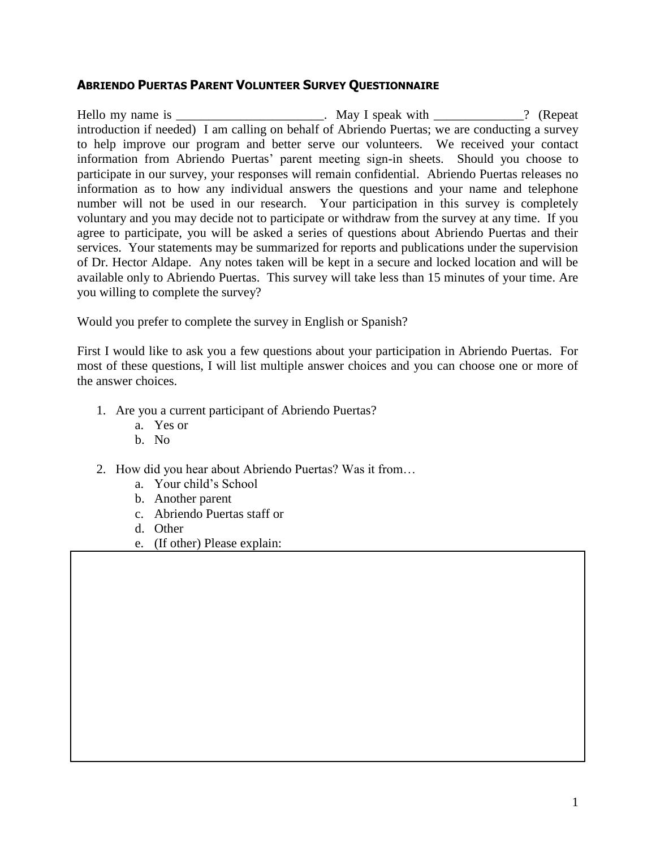### **ABRIENDO PUERTAS PARENT VOLUNTEER SURVEY QUESTIONNAIRE**

Hello my name is \_\_\_\_\_\_\_\_\_\_\_\_\_\_\_\_\_\_\_\_\_\_\_\_\_. May I speak with \_\_\_\_\_\_\_\_\_\_\_? (Repeat introduction if needed) I am calling on behalf of Abriendo Puertas; we are conducting a survey to help improve our program and better serve our volunteers. We received your contact information from Abriendo Puertas' parent meeting sign-in sheets. Should you choose to participate in our survey, your responses will remain confidential. Abriendo Puertas releases no information as to how any individual answers the questions and your name and telephone number will not be used in our research. Your participation in this survey is completely voluntary and you may decide not to participate or withdraw from the survey at any time. If you agree to participate, you will be asked a series of questions about Abriendo Puertas and their services. Your statements may be summarized for reports and publications under the supervision of Dr. Hector Aldape. Any notes taken will be kept in a secure and locked location and will be available only to Abriendo Puertas. This survey will take less than 15 minutes of your time. Are you willing to complete the survey?

Would you prefer to complete the survey in English or Spanish?

First I would like to ask you a few questions about your participation in Abriendo Puertas. For most of these questions, I will list multiple answer choices and you can choose one or more of the answer choices.

- 1. Are you a current participant of Abriendo Puertas?
	- a. Yes or
	- b. No
- 2. How did you hear about Abriendo Puertas? Was it from…
	- a. Your child's School
	- b. Another parent
	- c. Abriendo Puertas staff or
	- d. Other
	- e. (If other) Please explain: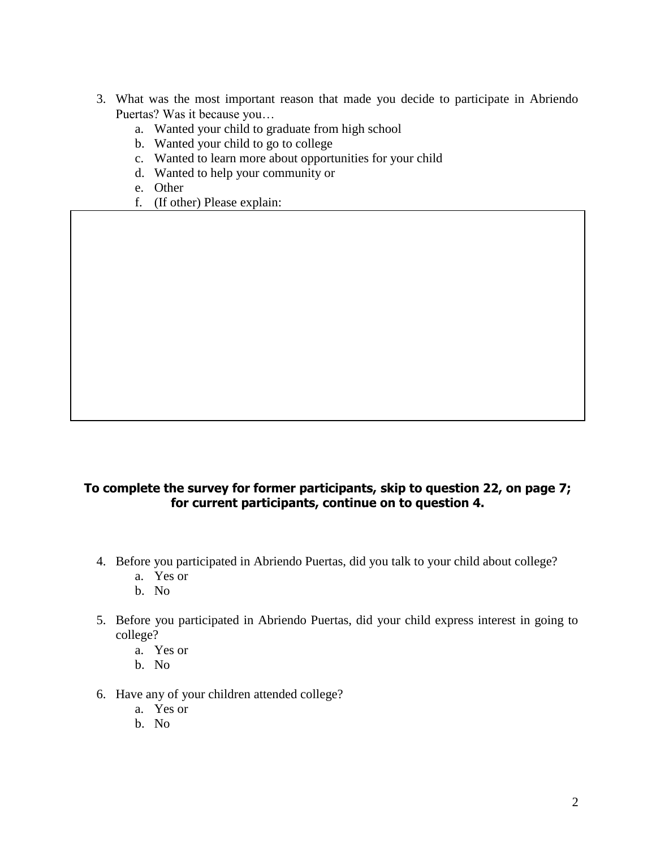- 3. What was the most important reason that made you decide to participate in Abriendo Puertas? Was it because you…
	- a. Wanted your child to graduate from high school
	- b. Wanted your child to go to college
	- c. Wanted to learn more about opportunities for your child
	- d. Wanted to help your community or
	- e. Other
	- f. (If other) Please explain:

### **To complete the survey for former participants, skip to question 22, on page 7; for current participants, continue on to question 4.**

- 4. Before you participated in Abriendo Puertas, did you talk to your child about college?
	- a. Yes or
	- b. No
- 5. Before you participated in Abriendo Puertas, did your child express interest in going to college?
	- a. Yes or
	- b. No
- 6. Have any of your children attended college?
	- a. Yes or
	- b. No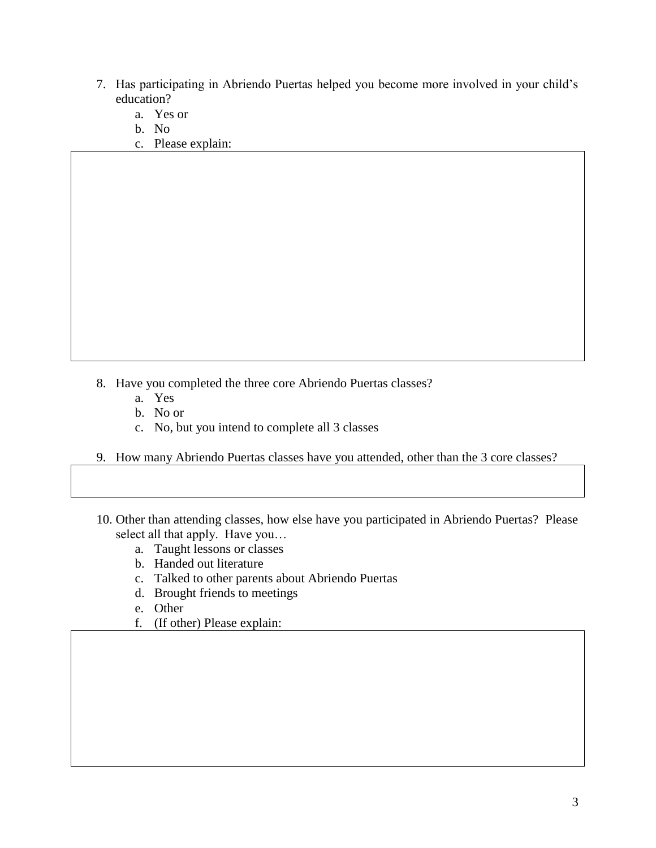- 7. Has participating in Abriendo Puertas helped you become more involved in your child's education?
	- a. Yes or
	- b. No
	- c. Please explain:

- 8. Have you completed the three core Abriendo Puertas classes?
	- a. Yes
	- b. No or
	- c. No, but you intend to complete all 3 classes
- 9. How many Abriendo Puertas classes have you attended, other than the 3 core classes?
- 10. Other than attending classes, how else have you participated in Abriendo Puertas? Please select all that apply. Have you…
	- a. Taught lessons or classes
	- b. Handed out literature
	- c. Talked to other parents about Abriendo Puertas
	- d. Brought friends to meetings
	- e. Other
	- f. (If other) Please explain: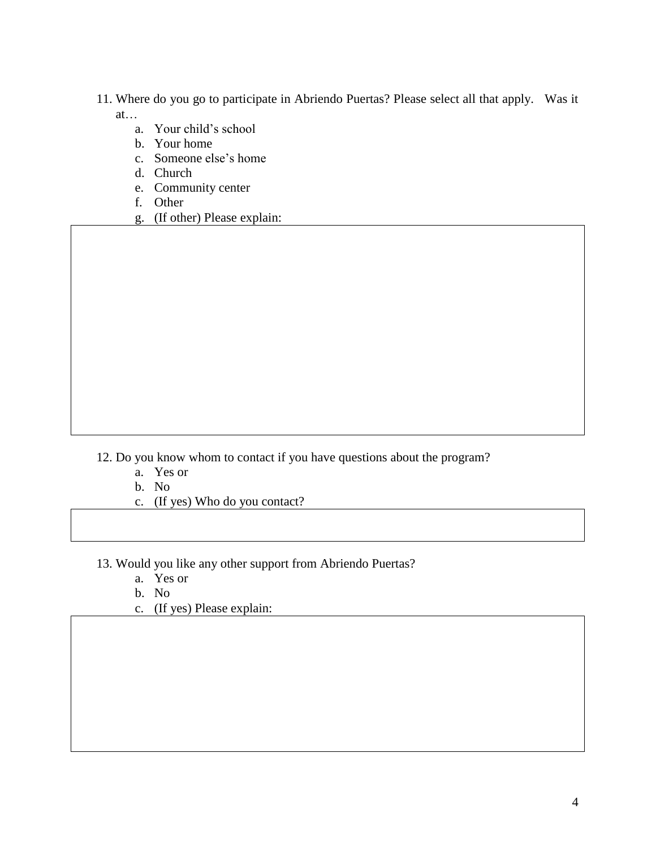- 11. Where do you go to participate in Abriendo Puertas? Please select all that apply. Was it at…
	- a. Your child's school
	- b. Your home
	- c. Someone else's home
	- d. Church
	- e. Community center
	- f. Other
	- g. (If other) Please explain:

12. Do you know whom to contact if you have questions about the program?

- a. Yes or
- b. No
- c. (If yes) Who do you contact?

13. Would you like any other support from Abriendo Puertas?

- a. Yes or
- b. No
- c. (If yes) Please explain: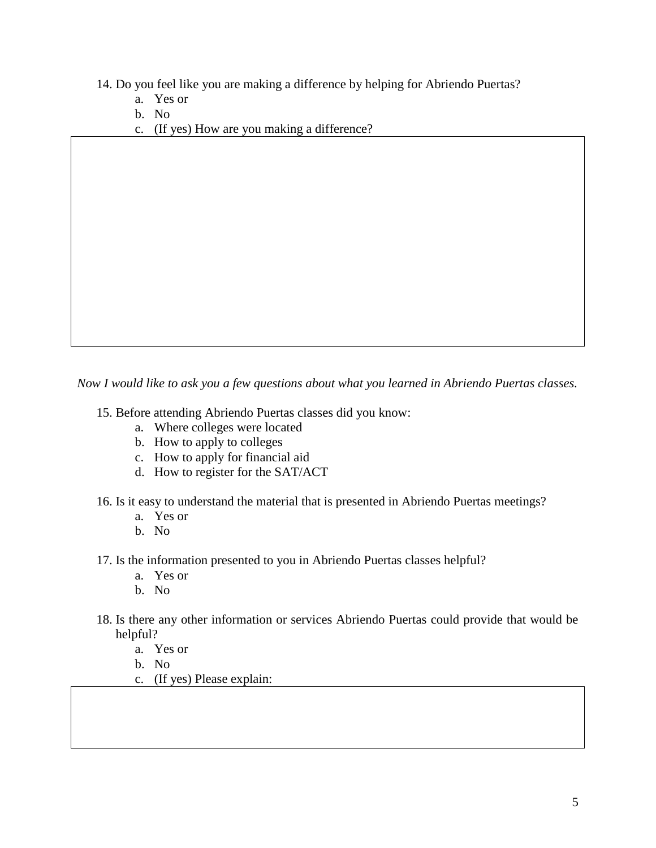14. Do you feel like you are making a difference by helping for Abriendo Puertas?

- a. Yes or
- b. No
- c. (If yes) How are you making a difference?

*Now I would like to ask you a few questions about what you learned in Abriendo Puertas classes.*

15. Before attending Abriendo Puertas classes did you know:

- a. Where colleges were located
- b. How to apply to colleges
- c. How to apply for financial aid
- d. How to register for the SAT/ACT

16. Is it easy to understand the material that is presented in Abriendo Puertas meetings?

- a. Yes or
- b. No
- 17. Is the information presented to you in Abriendo Puertas classes helpful?
	- a. Yes or
	- b. No
- 18. Is there any other information or services Abriendo Puertas could provide that would be helpful?
	- a. Yes or
	- b. No
	- c. (If yes) Please explain: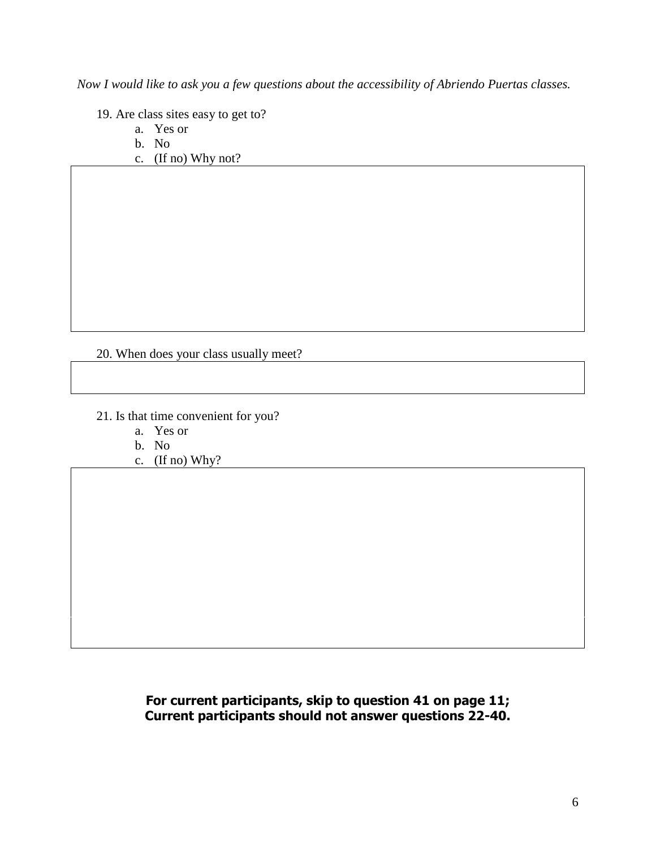*Now I would like to ask you a few questions about the accessibility of Abriendo Puertas classes.* 

19. Are class sites easy to get to?

- a. Yes or
- b. No
- c. (If no) Why not?

### 20. When does your class usually meet?

- 21. Is that time convenient for you?
	- a. Yes or
	- b. No
	- c. (If no) Why?

## **For current participants, skip to question 41 on page 11; Current participants should not answer questions 22-40.**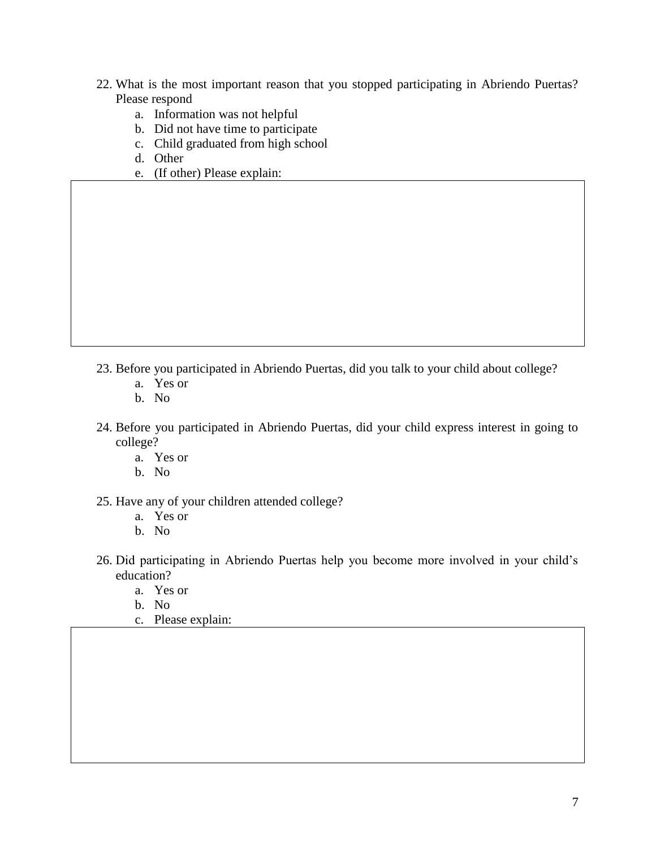- 22. What is the most important reason that you stopped participating in Abriendo Puertas? Please respond
	- a. Information was not helpful
	- b. Did not have time to participate
	- c. Child graduated from high school
	- d. Other
	- e. (If other) Please explain:

- 23. Before you participated in Abriendo Puertas, did you talk to your child about college?
	- a. Yes or
	- b. No
- 24. Before you participated in Abriendo Puertas, did your child express interest in going to college?
	- a. Yes or
	- b. No
- 25. Have any of your children attended college?
	- a. Yes or
	- b. No
- 26. Did participating in Abriendo Puertas help you become more involved in your child's education?
	- a. Yes or
	- b. No
	- c. Please explain: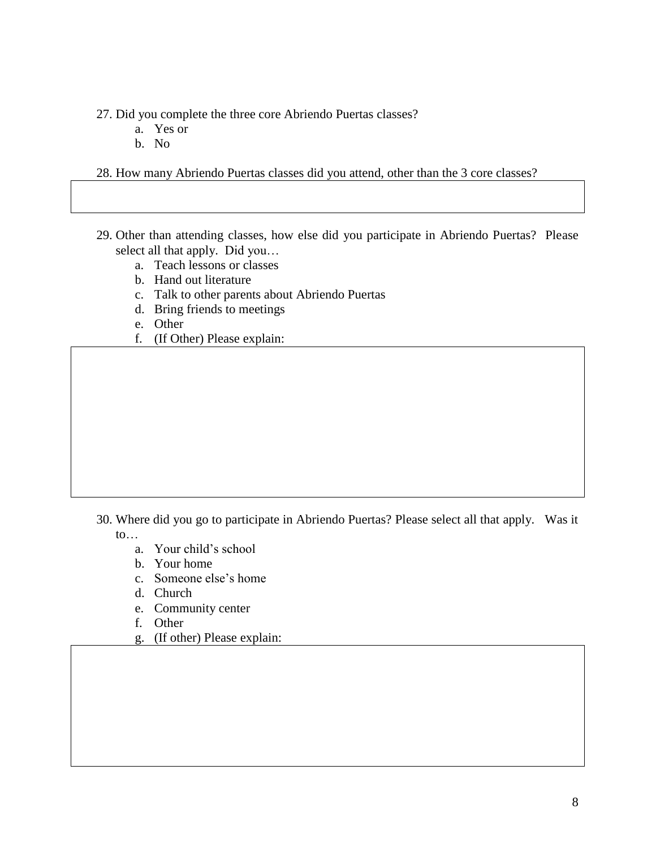27. Did you complete the three core Abriendo Puertas classes?

- a. Yes or
- b. No

28. How many Abriendo Puertas classes did you attend, other than the 3 core classes?

- 29. Other than attending classes, how else did you participate in Abriendo Puertas? Please select all that apply. Did you…
	- a. Teach lessons or classes
	- b. Hand out literature
	- c. Talk to other parents about Abriendo Puertas
	- d. Bring friends to meetings
	- e. Other
	- f. (If Other) Please explain:

- 30. Where did you go to participate in Abriendo Puertas? Please select all that apply. Was it to…
	- a. Your child's school
	- b. Your home
	- c. Someone else's home
	- d. Church
	- e. Community center
	- f. Other
	- g. (If other) Please explain: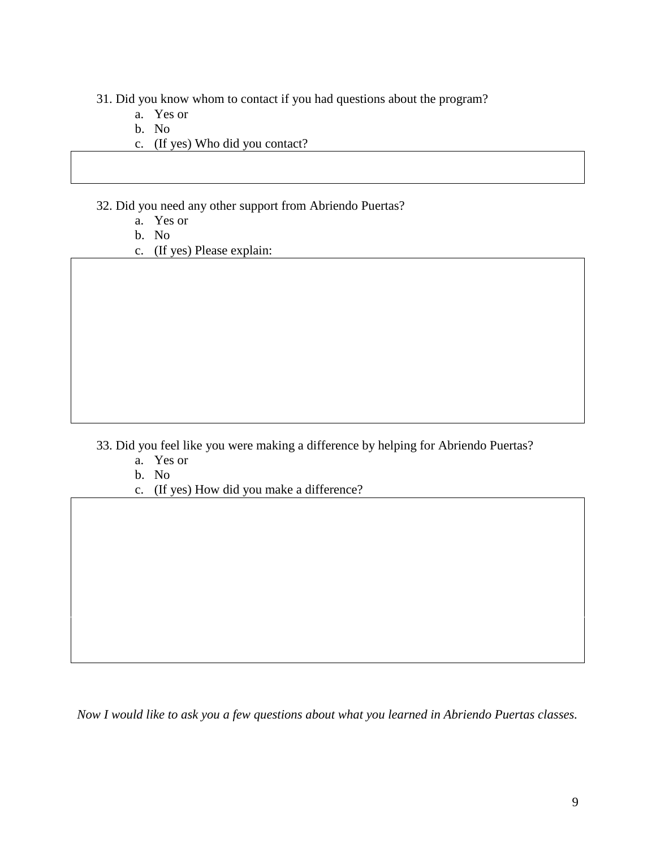- 31. Did you know whom to contact if you had questions about the program?
	- a. Yes or
	- b. No
	- c. (If yes) Who did you contact?
- 32. Did you need any other support from Abriendo Puertas?
	- a. Yes or
	- b. No
	- c. (If yes) Please explain:

- 33. Did you feel like you were making a difference by helping for Abriendo Puertas?
	- a. Yes or
	- b. No
	- c. (If yes) How did you make a difference?

*Now I would like to ask you a few questions about what you learned in Abriendo Puertas classes.*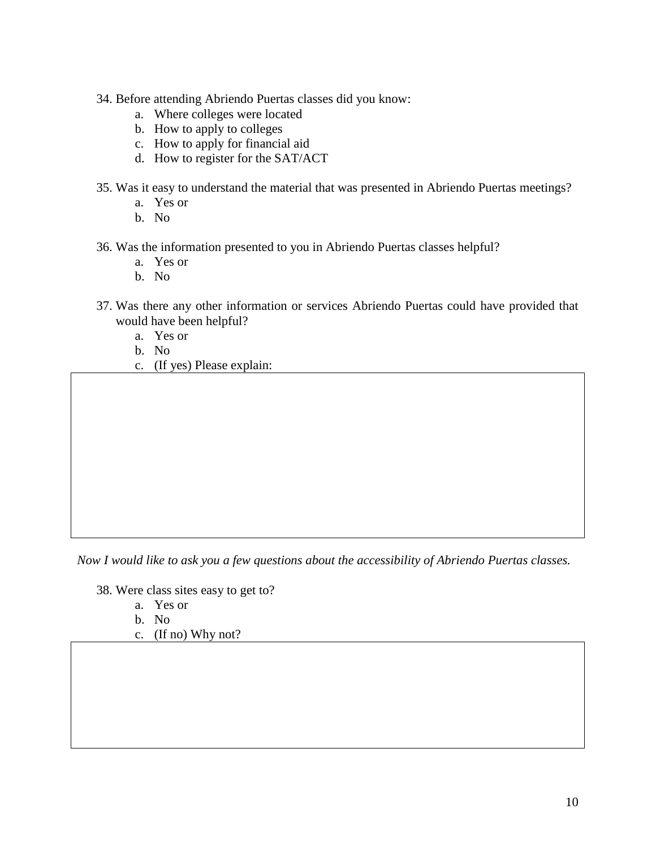- 34. Before attending Abriendo Puertas classes did you know:
	- a. Where colleges were located
	- b. How to apply to colleges
	- c. How to apply for financial aid
	- d. How to register for the SAT/ACT
- 35. Was it easy to understand the material that was presented in Abriendo Puertas meetings?
	- a. Yes or
	- b. No
- 36. Was the information presented to you in Abriendo Puertas classes helpful?
	- a. Yes or
	- b. No
- 37. Was there any other information or services Abriendo Puertas could have provided that would have been helpful?
	- a. Yes or
	- b. No
	- c. (If yes) Please explain:

*Now I would like to ask you a few questions about the accessibility of Abriendo Puertas classes.* 

- 38. Were class sites easy to get to?
	- a. Yes or
	- b. No
	- c. (If no) Why not?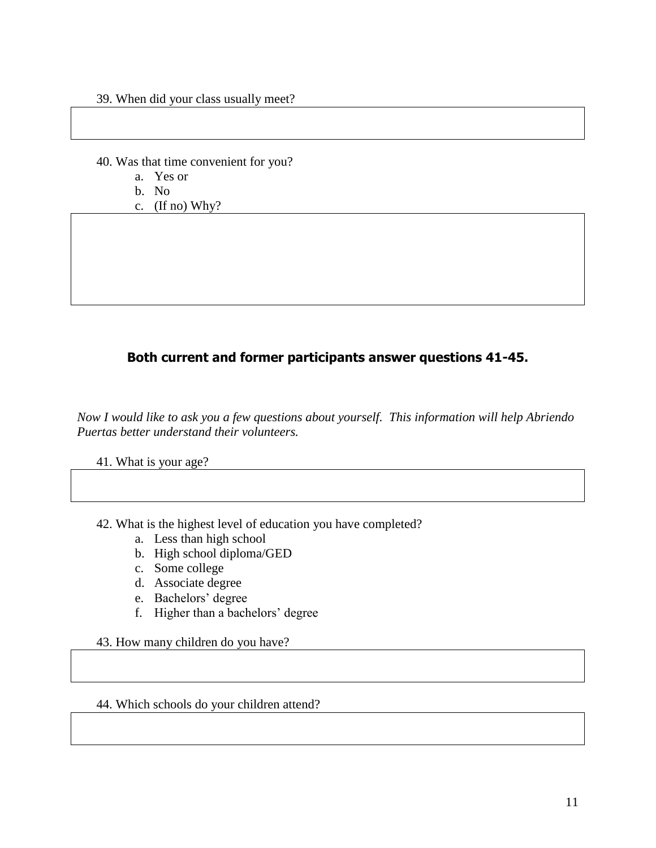- 39. When did your class usually meet?
- 40. Was that time convenient for you?
	- a. Yes or
	- b. No
	- c. (If no) Why?

## **Both current and former participants answer questions 41-45.**

*Now I would like to ask you a few questions about yourself. This information will help Abriendo Puertas better understand their volunteers.* 

41. What is your age?

42. What is the highest level of education you have completed?

- a. Less than high school
- b. High school diploma/GED
- c. Some college
- d. Associate degree
- e. Bachelors' degree
- f. Higher than a bachelors' degree

43. How many children do you have?

44. Which schools do your children attend?